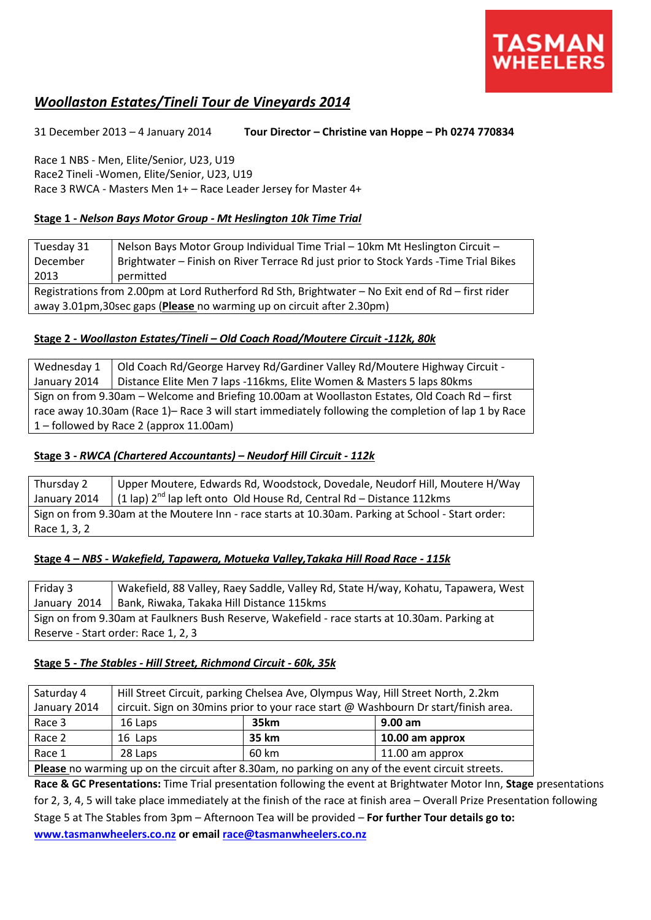

# *Woollaston Estates/Tineli Tour de Vineyards 2014*

31 December 2013 – 4 January 2014 **Tour Director – Christine van Hoppe – Ph 0274 770834**

Race 1 NBS - Men, Elite/Senior, U23, U19 Race2 Tineli -Women, Elite/Senior, U23, U19 Race 3 RWCA - Masters Men 1+ – Race Leader Jersey for Master 4+

# **Stage 1 -** *Nelson Bays Motor Group - Mt Heslington 10k Time Trial*

| Tuesday 31                                                                                         | Nelson Bays Motor Group Individual Time Trial - 10km Mt Heslington Circuit -          |  |
|----------------------------------------------------------------------------------------------------|---------------------------------------------------------------------------------------|--|
| December                                                                                           | Brightwater - Finish on River Terrace Rd just prior to Stock Yards - Time Trial Bikes |  |
| 2013                                                                                               | permitted                                                                             |  |
| Registrations from 2.00pm at Lord Rutherford Rd Sth, Brightwater - No Exit end of Rd - first rider |                                                                                       |  |
| away 3.01pm, 30 sec gaps (Please no warming up on circuit after 2.30pm)                            |                                                                                       |  |

# **Stage 2 -** *Woollaston Estates/Tineli – Old Coach Road/Moutere Circuit -112k, 80k*

Wednesday 1 January 2014 Old Coach Rd/George Harvey Rd/Gardiner Valley Rd/Moutere Highway Circuit - Distance Elite Men 7 laps -116kms, Elite Women & Masters 5 laps 80kms Sign on from 9.30am – Welcome and Briefing 10.00am at Woollaston Estates, Old Coach Rd – first race away 10.30am (Race 1)– Race 3 will start immediately following the completion of lap 1 by Race 1 – followed by Race 2 (approx 11.00am)

# **Stage 3 -** *RWCA (Chartered Accountants) – Neudorf Hill Circuit - 112k*

Thursday 2 January 2014 Upper Moutere, Edwards Rd, Woodstock, Dovedale, Neudorf Hill, Moutere H/Way (1 lap)  $2^{nd}$  lap left onto Old House Rd, Central Rd – Distance 112kms Sign on from 9.30am at the Moutere Inn - race starts at 10.30am. Parking at School - Start order: Race 1, 3, 2

#### **Stage 4 –** *NBS - Wakefield, Tapawera, Motueka Valley,Takaka Hill Road Race - 115k*

Friday 3 January 2014 Wakefield, 88 Valley, Raey Saddle, Valley Rd, State H/way, Kohatu, Tapawera, West Bank, Riwaka, Takaka Hill Distance 115kms Sign on from 9.30am at Faulkners Bush Reserve, Wakefield - race starts at 10.30am. Parking at Reserve - Start order: Race 1, 2, 3

# **Stage 5 -** *The Stables - Hill Street, Richmond Circuit - 60k, 35k*

| Saturday 4                                                                                        | Hill Street Circuit, parking Chelsea Ave, Olympus Way, Hill Street North, 2.2km    |       |                 |  |
|---------------------------------------------------------------------------------------------------|------------------------------------------------------------------------------------|-------|-----------------|--|
| January 2014                                                                                      | circuit. Sign on 30mins prior to your race start @ Washbourn Dr start/finish area. |       |                 |  |
| Race 3                                                                                            | 16 Laps                                                                            | 35km  | $9.00$ am       |  |
| Race 2                                                                                            | 16 Laps                                                                            | 35 km | 10.00 am approx |  |
| Race 1                                                                                            | 28 Laps                                                                            | 60 km | 11.00 am approx |  |
| Please no warming up on the circuit after 8.30am, no parking on any of the event circuit streets. |                                                                                    |       |                 |  |

**Race & GC Presentations:** Time Trial presentation following the event at Brightwater Motor Inn, **Stage** presentations for 2, 3, 4, 5 will take place immediately at the finish of the race at finish area – Overall Prize Presentation following Stage 5 at The Stables from 3pm – Afternoon Tea will be provided – **For further Tour details go to:** 

**[www.tasmanwheelers.co.nz](http://www.tasmanwheelers.co.nz/) or emai[l race@tasmanwheelers.co.nz](mailto:race@tasmanwheelers.co.nz)**